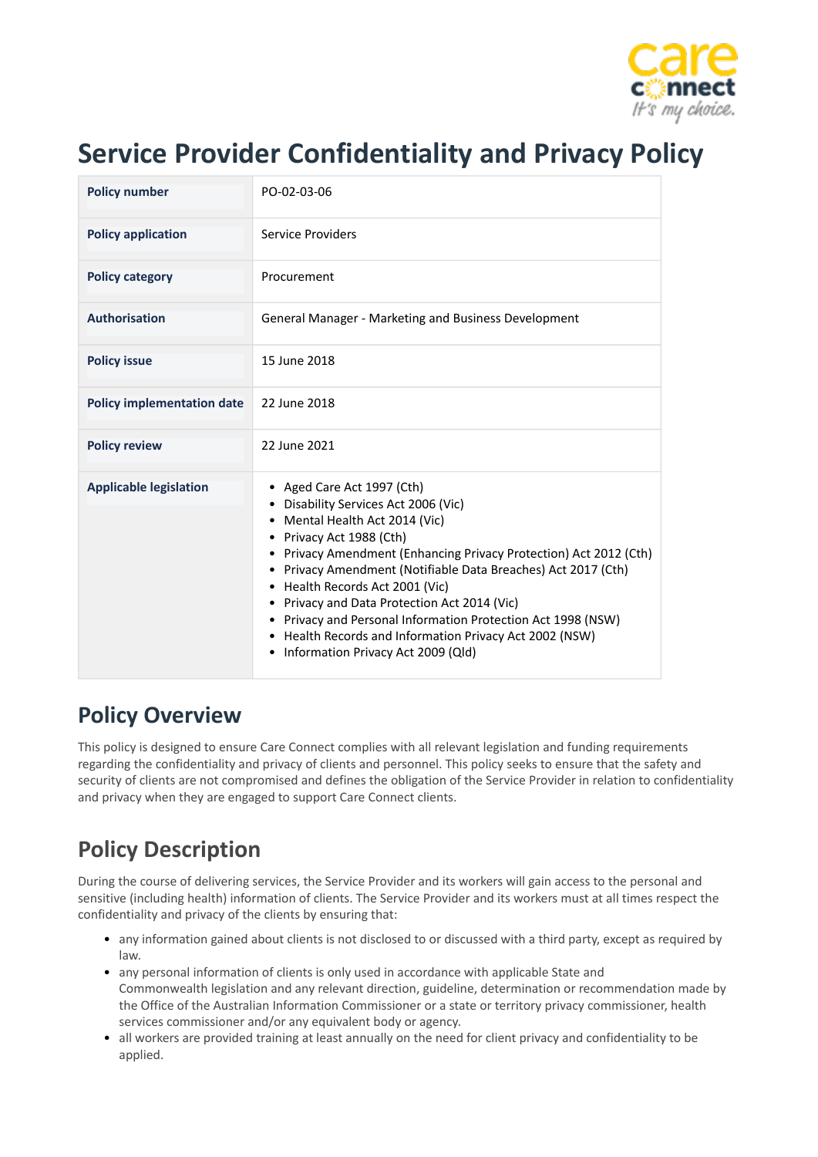

# **Service Provider Confidentiality and Privacy Policy**

| <b>Policy number</b>              | PO-02-03-06                                                                                                                                                                                                                                                                                                                                                                                                                                                                                                                      |
|-----------------------------------|----------------------------------------------------------------------------------------------------------------------------------------------------------------------------------------------------------------------------------------------------------------------------------------------------------------------------------------------------------------------------------------------------------------------------------------------------------------------------------------------------------------------------------|
| <b>Policy application</b>         | Service Providers                                                                                                                                                                                                                                                                                                                                                                                                                                                                                                                |
| <b>Policy category</b>            | Procurement                                                                                                                                                                                                                                                                                                                                                                                                                                                                                                                      |
| <b>Authorisation</b>              | General Manager - Marketing and Business Development                                                                                                                                                                                                                                                                                                                                                                                                                                                                             |
| <b>Policy issue</b>               | 15 June 2018                                                                                                                                                                                                                                                                                                                                                                                                                                                                                                                     |
| <b>Policy implementation date</b> | 22 June 2018                                                                                                                                                                                                                                                                                                                                                                                                                                                                                                                     |
| <b>Policy review</b>              | 22 June 2021                                                                                                                                                                                                                                                                                                                                                                                                                                                                                                                     |
| <b>Applicable legislation</b>     | • Aged Care Act 1997 (Cth)<br>• Disability Services Act 2006 (Vic)<br>Mental Health Act 2014 (Vic)<br>٠<br>• Privacy Act 1988 (Cth)<br>Privacy Amendment (Enhancing Privacy Protection) Act 2012 (Cth)<br>Privacy Amendment (Notifiable Data Breaches) Act 2017 (Cth)<br>Health Records Act 2001 (Vic)<br>Privacy and Data Protection Act 2014 (Vic)<br>٠<br>Privacy and Personal Information Protection Act 1998 (NSW)<br>Health Records and Information Privacy Act 2002 (NSW)<br>٠<br>Information Privacy Act 2009 (Qld)<br>٠ |

## **Policy Overview**

This policy is designed to ensure Care Connect complies with all relevant legislation and funding requirements regarding the confidentiality and privacy of clients and personnel. This policy seeks to ensure that the safety and security of clients are not compromised and defines the obligation of the Service Provider in relation to confidentiality and privacy when they are engaged to support Care Connect clients.

# **Policy Description**

During the course of delivering services, the Service Provider and its workers will gain access to the personal and sensitive (including health) information of clients. The Service Provider and its workers must at all times respect the confidentiality and privacy of the clients by ensuring that:

- any information gained about clients is not disclosed to or discussed with a third party, except as required by law.
- any personal information of clients is only used in accordance with applicable State and Commonwealth legislation and any relevant direction, guideline, determination or recommendation made by the Office of the Australian Information Commissioner or a state or territory privacy commissioner, health services commissioner and/or any equivalent body or agency.
- all workers are provided training at least annually on the need for client privacy and confidentiality to be applied.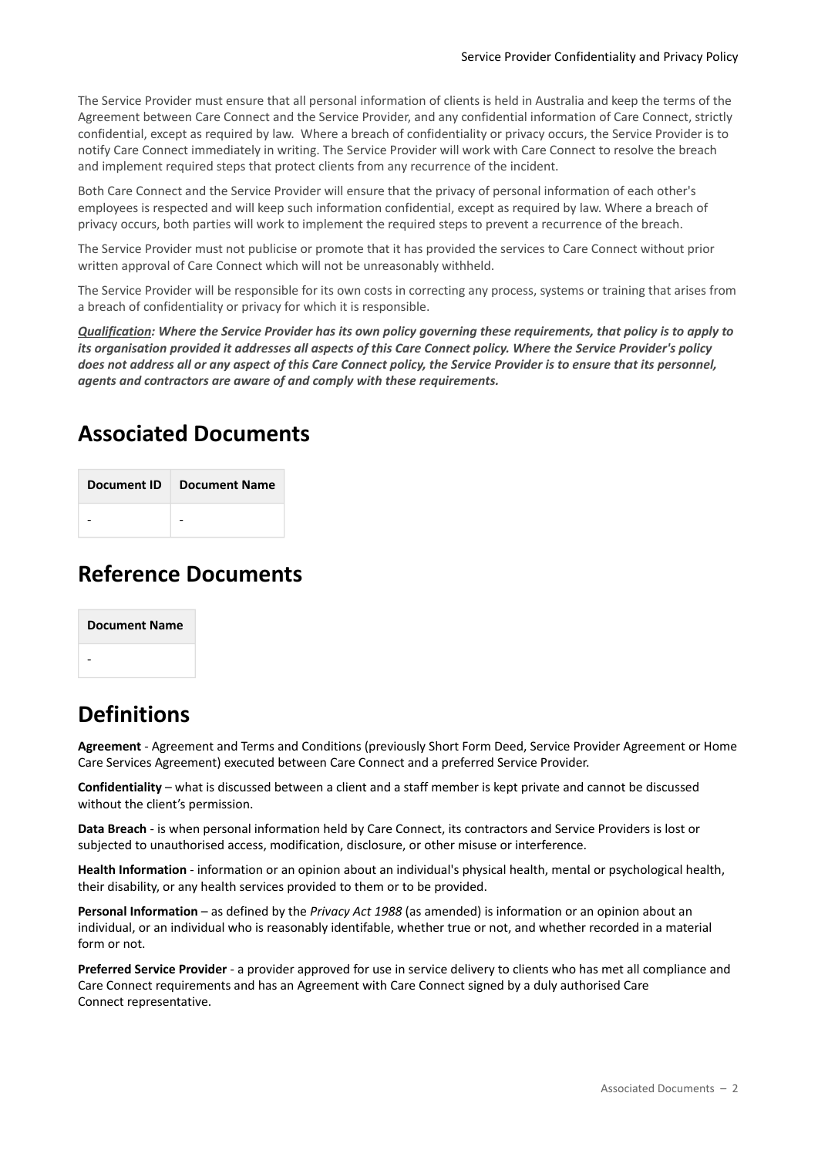The Service Provider must ensure that all personal information of clients is held in Australia and keep the terms of the Agreement between Care Connect and the Service Provider, and any confidential information of Care Connect, strictly confidential, except as required by law. Where a breach of confidentiality or privacy occurs, the Service Provider is to notify Care Connect immediately in writing. The Service Provider will work with Care Connect to resolve the breach and implement required steps that protect clients from any recurrence of the incident.

Both Care Connect and the Service Provider will ensure that the privacy of personal information of each other's employees is respected and will keep such information confidential, except as required by law. Where a breach of privacy occurs, both parties will work to implement the required steps to prevent a recurrence of the breach.

The Service Provider must not publicise or promote that it has provided the services to Care Connect without prior written approval of Care Connect which will not be unreasonably withheld.

The Service Provider will be responsible for its own costs in correcting any process, systems or training that arises from a breach of confidentiality or privacy for which it is responsible.

*Qualification: Where the Service Provider has its own policy governing these requirements, that policy is to apply to its organisation provided it addresses all aspects of this Care Connect policy. Where the Service Provider's policy does not address all or any aspect of this Care Connect policy, the Service Provider is to ensure that its personnel, agents and contractors are aware of and comply with these requirements.*

#### **Associated Documents**

#### **Reference Documents**

| <b>Document Name</b> |
|----------------------|
|                      |

### **Definitions**

**Agreement** - Agreement and Terms and Conditions (previously Short Form Deed, Service Provider Agreement or Home Care Services Agreement) executed between Care Connect and a preferred Service Provider.

**Confidentiality** – what is discussed between a client and a staff member is kept private and cannot be discussed without the client's permission.

**Data Breach** - is when personal information held by Care Connect, its contractors and Service Providers is lost or subjected to unauthorised access, modification, disclosure, or other misuse or interference.

**Health Information** - information or an opinion about an individual's physical health, mental or psychological health, their disability, or any health services provided to them or to be provided.

**Personal Information** – as defined by the *Privacy Act 1988* (as amended) is information or an opinion about an individual, or an individual who is reasonably identifable, whether true or not, and whether recorded in a material form or not.

**Preferred Service Provider** - a provider approved for use in service delivery to clients who has met all compliance and Care Connect requirements and has an Agreement with Care Connect signed by a duly authorised Care Connect representative.